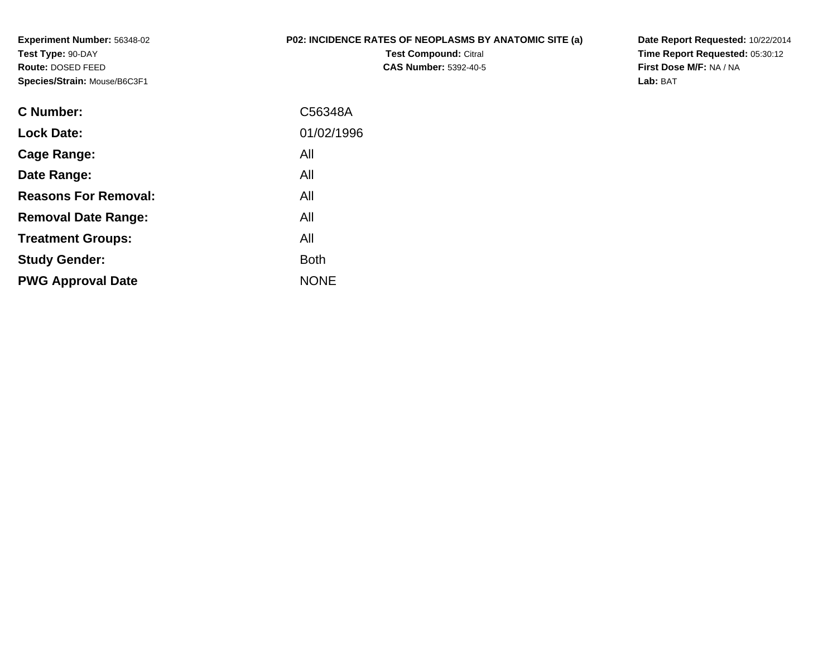**Experiment Number:** 56348-02**Test Type:** 90-DAY **Route:** DOSED FEED**Species/Strain:** Mouse/B6C3F1

## **P02: INCIDENCE RATES OF NEOPLASMS BY ANATOMIC SITE (a)**

**Test Compound:** Citral **CAS Number:** 5392-40-5 **Date Report Requested:** 10/22/2014 **Time Report Requested:** 05:30:12**First Dose M/F:** NA / NA**Lab:** BAT

| <b>C</b> Number:            | C56348A     |
|-----------------------------|-------------|
| <b>Lock Date:</b>           | 01/02/1996  |
| Cage Range:                 | All         |
| Date Range:                 | All         |
| <b>Reasons For Removal:</b> | All         |
| <b>Removal Date Range:</b>  | All         |
| <b>Treatment Groups:</b>    | All         |
| <b>Study Gender:</b>        | <b>Both</b> |
| <b>PWG Approval Date</b>    | <b>NONE</b> |
|                             |             |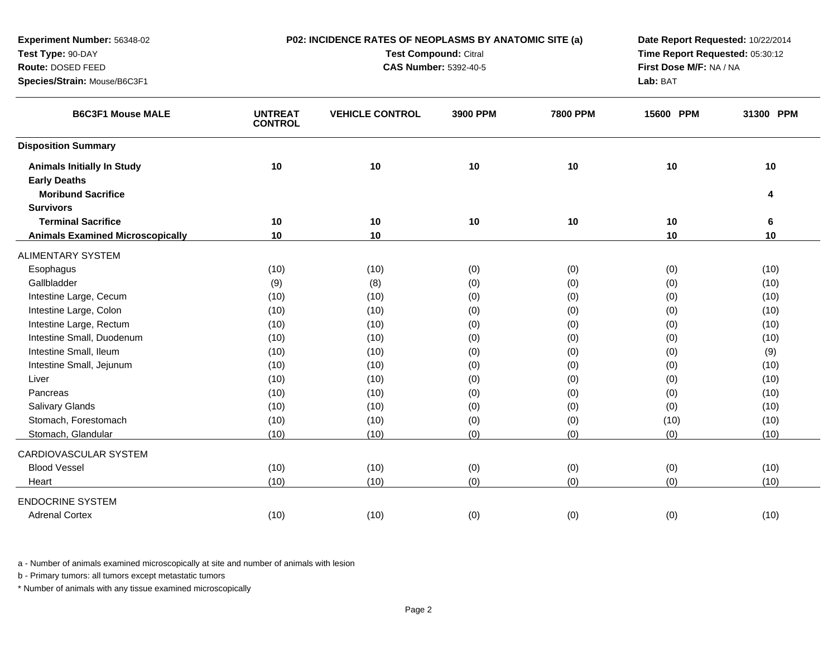| Experiment Number: 56348-02             | P02: INCIDENCE RATES OF NEOPLASMS BY ANATOMIC SITE (a) |                              |          |                         | Date Report Requested: 10/22/2014 |           |  |
|-----------------------------------------|--------------------------------------------------------|------------------------------|----------|-------------------------|-----------------------------------|-----------|--|
| Test Type: 90-DAY                       |                                                        | <b>Test Compound: Citral</b> |          |                         | Time Report Requested: 05:30:12   |           |  |
| Route: DOSED FEED                       |                                                        | <b>CAS Number: 5392-40-5</b> |          | First Dose M/F: NA / NA |                                   |           |  |
| Species/Strain: Mouse/B6C3F1            |                                                        |                              |          |                         | Lab: BAT                          |           |  |
| <b>B6C3F1 Mouse MALE</b>                | <b>UNTREAT</b><br><b>CONTROL</b>                       | <b>VEHICLE CONTROL</b>       | 3900 PPM | <b>7800 PPM</b>         | 15600 PPM                         | 31300 PPM |  |
| <b>Disposition Summary</b>              |                                                        |                              |          |                         |                                   |           |  |
| <b>Animals Initially In Study</b>       | 10                                                     | 10                           | 10       | 10                      | 10                                | 10        |  |
| <b>Early Deaths</b>                     |                                                        |                              |          |                         |                                   |           |  |
| <b>Moribund Sacrifice</b>               |                                                        |                              |          |                         |                                   | 4         |  |
| <b>Survivors</b>                        |                                                        |                              |          |                         |                                   |           |  |
| <b>Terminal Sacrifice</b>               | 10                                                     | 10                           | 10       | 10                      | 10                                | 6         |  |
| <b>Animals Examined Microscopically</b> | 10                                                     | 10                           |          |                         | 10                                | 10        |  |
| <b>ALIMENTARY SYSTEM</b>                |                                                        |                              |          |                         |                                   |           |  |
| Esophagus                               | (10)                                                   | (10)                         | (0)      | (0)                     | (0)                               | (10)      |  |
| Gallbladder                             | (9)                                                    | (8)                          | (0)      | (0)                     | (0)                               | (10)      |  |
| Intestine Large, Cecum                  | (10)                                                   | (10)                         | (0)      | (0)                     | (0)                               | (10)      |  |
| Intestine Large, Colon                  | (10)                                                   | (10)                         | (0)      | (0)                     | (0)                               | (10)      |  |
| Intestine Large, Rectum                 | (10)                                                   | (10)                         | (0)      | (0)                     | (0)                               | (10)      |  |
| Intestine Small, Duodenum               | (10)                                                   | (10)                         | (0)      | (0)                     | (0)                               | (10)      |  |
| Intestine Small, Ileum                  | (10)                                                   | (10)                         | (0)      | (0)                     | (0)                               | (9)       |  |
| Intestine Small, Jejunum                | (10)                                                   | (10)                         | (0)      | (0)                     | (0)                               | (10)      |  |
| Liver                                   | (10)                                                   | (10)                         | (0)      | (0)                     | (0)                               | (10)      |  |
| Pancreas                                | (10)                                                   | (10)                         | (0)      | (0)                     | (0)                               | (10)      |  |
| <b>Salivary Glands</b>                  | (10)                                                   | (10)                         | (0)      | (0)                     | (0)                               | (10)      |  |
| Stomach, Forestomach                    | (10)                                                   | (10)                         | (0)      | (0)                     | (10)                              | (10)      |  |
| Stomach, Glandular                      | (10)                                                   | (10)                         | (0)      | (0)                     | (0)                               | (10)      |  |
| CARDIOVASCULAR SYSTEM                   |                                                        |                              |          |                         |                                   |           |  |
| <b>Blood Vessel</b>                     | (10)                                                   | (10)                         | (0)      | (0)                     | (0)                               | (10)      |  |
| Heart                                   | (10)                                                   | (10)                         | (0)      | (0)                     | (0)                               | (10)      |  |
| <b>ENDOCRINE SYSTEM</b>                 |                                                        |                              |          |                         |                                   |           |  |
| <b>Adrenal Cortex</b>                   | (10)                                                   | (10)                         | (0)      | (0)                     | (0)                               | (10)      |  |
|                                         |                                                        |                              |          |                         |                                   |           |  |

b - Primary tumors: all tumors except metastatic tumors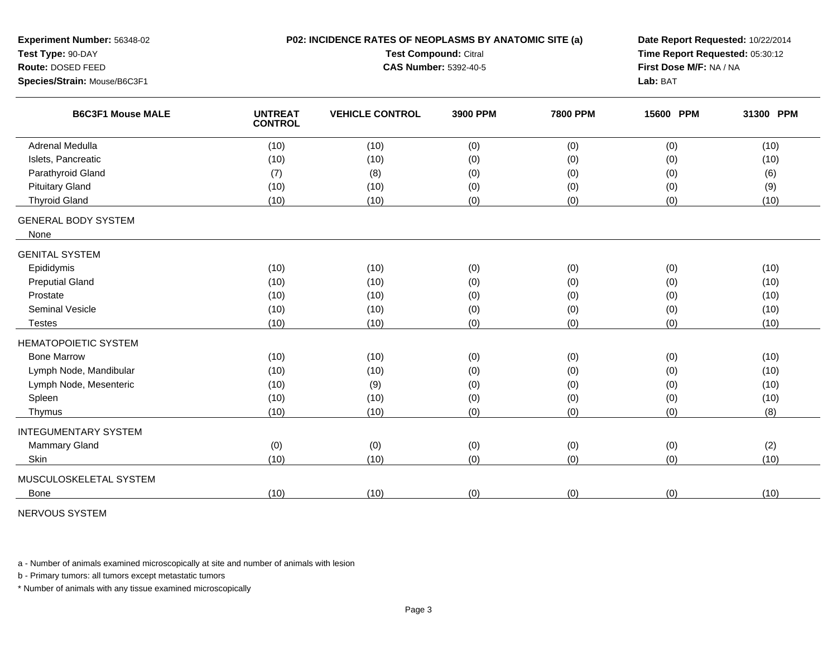| Experiment Number: 56348-02<br>Test Type: 90-DAY<br>Route: DOSED FEED<br>Species/Strain: Mouse/B6C3F1 |                                  | P02: INCIDENCE RATES OF NEOPLASMS BY ANATOMIC SITE (a)<br><b>Test Compound: Citral</b><br><b>CAS Number: 5392-40-5</b> | Date Report Requested: 10/22/2014<br>Time Report Requested: 05:30:12<br>First Dose M/F: NA / NA<br>Lab: BAT |                 |           |           |
|-------------------------------------------------------------------------------------------------------|----------------------------------|------------------------------------------------------------------------------------------------------------------------|-------------------------------------------------------------------------------------------------------------|-----------------|-----------|-----------|
| <b>B6C3F1 Mouse MALE</b>                                                                              | <b>UNTREAT</b><br><b>CONTROL</b> | <b>VEHICLE CONTROL</b>                                                                                                 | 3900 PPM                                                                                                    | <b>7800 PPM</b> | 15600 PPM | 31300 PPM |
| Adrenal Medulla                                                                                       | (10)                             | (10)                                                                                                                   | (0)                                                                                                         | (0)             | (0)       | (10)      |
| Islets, Pancreatic                                                                                    | (10)                             | (10)                                                                                                                   | (0)                                                                                                         | (0)             | (0)       | (10)      |
| Parathyroid Gland                                                                                     | (7)                              | (8)                                                                                                                    | (0)                                                                                                         | (0)             | (0)       | (6)       |
| <b>Pituitary Gland</b>                                                                                | (10)                             | (10)                                                                                                                   | (0)                                                                                                         | (0)             | (0)       | (9)       |
| <b>Thyroid Gland</b>                                                                                  | (10)                             | (10)                                                                                                                   | (0)                                                                                                         | (0)             | (0)       | (10)      |
| <b>GENERAL BODY SYSTEM</b><br>None                                                                    |                                  |                                                                                                                        |                                                                                                             |                 |           |           |
| <b>GENITAL SYSTEM</b>                                                                                 |                                  |                                                                                                                        |                                                                                                             |                 |           |           |
| Epididymis                                                                                            | (10)                             | (10)                                                                                                                   | (0)                                                                                                         | (0)             | (0)       | (10)      |
| <b>Preputial Gland</b>                                                                                | (10)                             | (10)                                                                                                                   | (0)                                                                                                         | (0)             | (0)       | (10)      |
| Prostate                                                                                              | (10)                             | (10)                                                                                                                   | (0)                                                                                                         | (0)             | (0)       | (10)      |
| <b>Seminal Vesicle</b>                                                                                | (10)                             | (10)                                                                                                                   | (0)                                                                                                         | (0)             | (0)       | (10)      |
| <b>Testes</b>                                                                                         | (10)                             | (10)                                                                                                                   | (0)                                                                                                         | (0)             | (0)       | (10)      |
| <b>HEMATOPOIETIC SYSTEM</b>                                                                           |                                  |                                                                                                                        |                                                                                                             |                 |           |           |
| <b>Bone Marrow</b>                                                                                    | (10)                             | (10)                                                                                                                   | (0)                                                                                                         | (0)             | (0)       | (10)      |
| Lymph Node, Mandibular                                                                                | (10)                             | (10)                                                                                                                   | (0)                                                                                                         | (0)             | (0)       | (10)      |
| Lymph Node, Mesenteric                                                                                | (10)                             | (9)                                                                                                                    | (0)                                                                                                         | (0)             | (0)       | (10)      |
| Spleen                                                                                                | (10)                             | (10)                                                                                                                   | (0)                                                                                                         | (0)             | (0)       | (10)      |
| Thymus                                                                                                | (10)                             | (10)                                                                                                                   | (0)                                                                                                         | (0)             | (0)       | (8)       |
| <b>INTEGUMENTARY SYSTEM</b>                                                                           |                                  |                                                                                                                        |                                                                                                             |                 |           |           |
| <b>Mammary Gland</b>                                                                                  | (0)                              | (0)                                                                                                                    | (0)                                                                                                         | (0)             | (0)       | (2)       |
| Skin                                                                                                  | (10)                             | (10)                                                                                                                   | (0)                                                                                                         | (0)             | (0)       | (10)      |
| MUSCULOSKELETAL SYSTEM                                                                                |                                  |                                                                                                                        |                                                                                                             |                 |           |           |
| Bone                                                                                                  | (10)                             | (10)                                                                                                                   | (0)                                                                                                         | (0)             | (0)       | (10)      |

NERVOUS SYSTEM

a - Number of animals examined microscopically at site and number of animals with lesion

b - Primary tumors: all tumors except metastatic tumors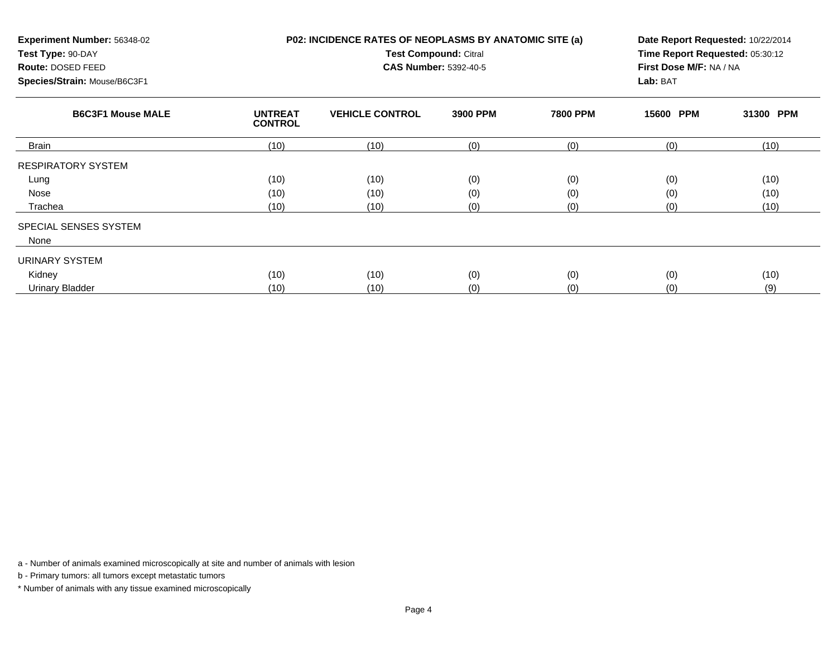| Experiment Number: 56348-02<br>Test Type: 90-DAY<br>Route: DOSED FEED<br>Species/Strain: Mouse/B6C3F1 |                                  | P02: INCIDENCE RATES OF NEOPLASMS BY ANATOMIC SITE (a)<br><b>Test Compound: Citral</b><br><b>CAS Number: 5392-40-5</b> | Date Report Requested: 10/22/2014<br>Time Report Requested: 05:30:12<br>First Dose M/F: NA / NA<br>Lab: BAT |                 |                     |           |
|-------------------------------------------------------------------------------------------------------|----------------------------------|------------------------------------------------------------------------------------------------------------------------|-------------------------------------------------------------------------------------------------------------|-----------------|---------------------|-----------|
| <b>B6C3F1 Mouse MALE</b>                                                                              | <b>UNTREAT</b><br><b>CONTROL</b> | <b>VEHICLE CONTROL</b>                                                                                                 | 3900 PPM                                                                                                    | <b>7800 PPM</b> | 15600<br><b>PPM</b> | 31300 PPM |
| <b>Brain</b>                                                                                          | (10)                             | (10)                                                                                                                   | (0)                                                                                                         | (0)             | (0)                 | (10)      |
| <b>RESPIRATORY SYSTEM</b>                                                                             |                                  |                                                                                                                        |                                                                                                             |                 |                     |           |
| Lung                                                                                                  | (10)                             | (10)                                                                                                                   | (0)                                                                                                         | (0)             | (0)                 | (10)      |
| Nose                                                                                                  | (10)                             | (10)                                                                                                                   | (0)                                                                                                         | (0)             | (0)                 | (10)      |
| Trachea                                                                                               | (10)                             | (10)                                                                                                                   | (0)                                                                                                         | (0)             | (0)                 | (10)      |
| SPECIAL SENSES SYSTEM<br>None                                                                         |                                  |                                                                                                                        |                                                                                                             |                 |                     |           |
| URINARY SYSTEM                                                                                        |                                  |                                                                                                                        |                                                                                                             |                 |                     |           |
| Kidney                                                                                                | (10)                             | (10)                                                                                                                   | (0)                                                                                                         | (0)             | (0)                 | (10)      |
| <b>Urinary Bladder</b>                                                                                | (10)                             | (10)                                                                                                                   | (0)                                                                                                         | (0)             | (0)                 | (9)       |

b - Primary tumors: all tumors except metastatic tumors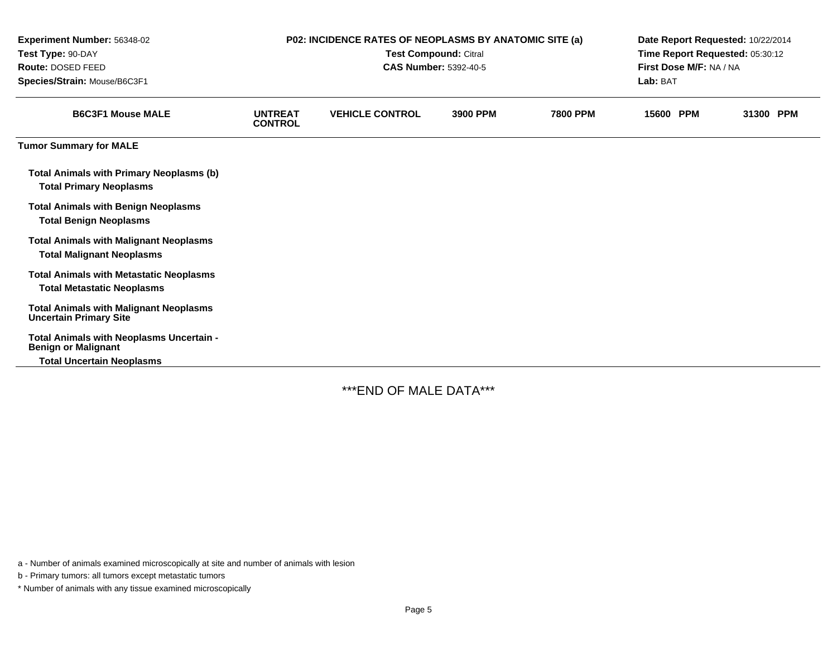| Experiment Number: 56348-02<br>Test Type: 90-DAY<br>Route: DOSED FEED<br>Species/Strain: Mouse/B6C3F1      | P02: INCIDENCE RATES OF NEOPLASMS BY ANATOMIC SITE (a)<br>Test Compound: Citral<br><b>CAS Number: 5392-40-5</b> |                        |          | Date Report Requested: 10/22/2014<br>Time Report Requested: 05:30:12<br>First Dose M/F: NA / NA<br>Lab: BAT |           |  |           |  |
|------------------------------------------------------------------------------------------------------------|-----------------------------------------------------------------------------------------------------------------|------------------------|----------|-------------------------------------------------------------------------------------------------------------|-----------|--|-----------|--|
| <b>B6C3F1 Mouse MALE</b>                                                                                   | <b>UNTREAT</b><br><b>CONTROL</b>                                                                                | <b>VEHICLE CONTROL</b> | 3900 PPM | <b>7800 PPM</b>                                                                                             | 15600 PPM |  | 31300 PPM |  |
| <b>Tumor Summary for MALE</b>                                                                              |                                                                                                                 |                        |          |                                                                                                             |           |  |           |  |
| <b>Total Animals with Primary Neoplasms (b)</b><br><b>Total Primary Neoplasms</b>                          |                                                                                                                 |                        |          |                                                                                                             |           |  |           |  |
| <b>Total Animals with Benign Neoplasms</b><br><b>Total Benign Neoplasms</b>                                |                                                                                                                 |                        |          |                                                                                                             |           |  |           |  |
| <b>Total Animals with Malignant Neoplasms</b><br><b>Total Malignant Neoplasms</b>                          |                                                                                                                 |                        |          |                                                                                                             |           |  |           |  |
| <b>Total Animals with Metastatic Neoplasms</b><br><b>Total Metastatic Neoplasms</b>                        |                                                                                                                 |                        |          |                                                                                                             |           |  |           |  |
| <b>Total Animals with Malignant Neoplasms</b><br><b>Uncertain Primary Site</b>                             |                                                                                                                 |                        |          |                                                                                                             |           |  |           |  |
| Total Animals with Neoplasms Uncertain -<br><b>Benign or Malignant</b><br><b>Total Uncertain Neoplasms</b> |                                                                                                                 |                        |          |                                                                                                             |           |  |           |  |

\*\*\*END OF MALE DATA\*\*\*

a - Number of animals examined microscopically at site and number of animals with lesion

b - Primary tumors: all tumors except metastatic tumors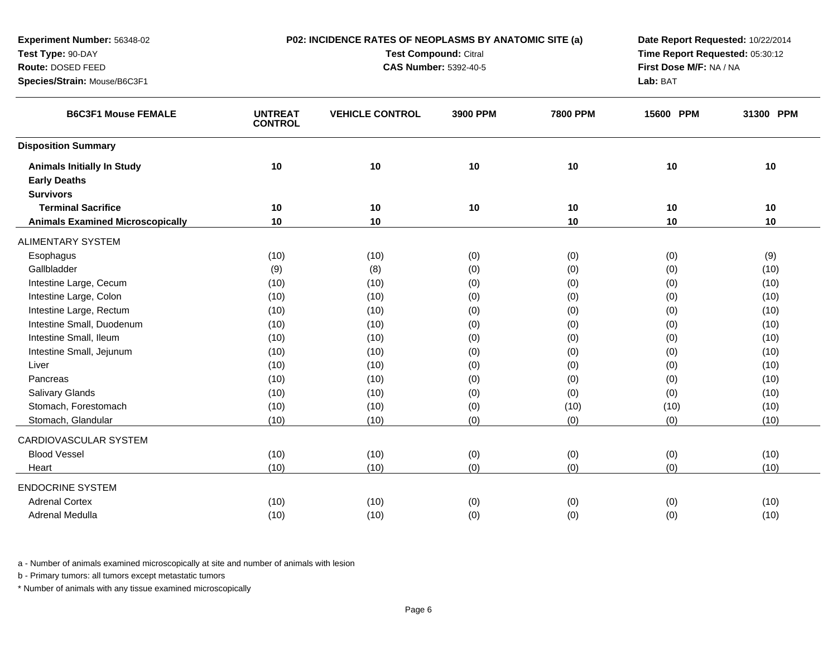| Test Type: 90-DAY<br>Test Compound: Citral<br>Time Report Requested: 05:30:12<br>First Dose M/F: NA / NA<br>Route: DOSED FEED<br><b>CAS Number: 5392-40-5</b><br>Lab: BAT<br>Species/Strain: Mouse/B6C3F1<br><b>B6C3F1 Mouse FEMALE</b><br><b>UNTREAT</b><br><b>VEHICLE CONTROL</b><br>3900 PPM<br><b>7800 PPM</b><br>15600 PPM<br>31300 PPM<br><b>CONTROL</b><br><b>Disposition Summary</b><br>10<br>10<br>10<br>10<br>10<br><b>Animals Initially In Study</b><br>10<br><b>Early Deaths</b><br><b>Survivors</b><br><b>Terminal Sacrifice</b><br>10<br>10<br>10<br>10<br>10<br>10<br><b>Animals Examined Microscopically</b><br>10<br>10<br>10<br>10<br>10<br><b>ALIMENTARY SYSTEM</b><br>(10)<br>(10)<br>(0)<br>(0)<br>(9)<br>Esophagus<br>(0)<br>Gallbladder<br>(8)<br>(0)<br>(10)<br>(9)<br>(0)<br>(0)<br>Intestine Large, Cecum<br>(10)<br>(0)<br>(0)<br>(10)<br>(10)<br>(0)<br>Intestine Large, Colon<br>(10)<br>(10)<br>(0)<br>(0)<br>(0)<br>(10)<br>Intestine Large, Rectum<br>(0)<br>(10)<br>(10)<br>(10)<br>(0)<br>(0)<br>Intestine Small, Duodenum<br>(10)<br>(0)<br>(0)<br>(10)<br>(10)<br>(0)<br>Intestine Small, Ileum<br>(10)<br>(10)<br>(0)<br>(0)<br>(10)<br>(0)<br>Intestine Small, Jejunum<br>(0)<br>(10)<br>(10)<br>(0)<br>(10)<br>(0)<br>(10)<br>(0)<br>Liver<br>(10)<br>(0)<br>(0)<br>(10)<br>(10)<br>(0)<br>(0)<br>(10)<br>Pancreas<br>(10)<br>(0)<br><b>Salivary Glands</b><br>(10)<br>(0)<br>(0)<br>(10)<br>(0)<br>(10)<br>Stomach, Forestomach<br>(10)<br>(10)<br>(10)<br>(10)<br>(10)<br>(0)<br>Stomach, Glandular<br>(10)<br>(10)<br>(0)<br>(0)<br>(0)<br>(10)<br>CARDIOVASCULAR SYSTEM<br><b>Blood Vessel</b><br>(10)<br>(10)<br>(0)<br>(10)<br>(0)<br>(0)<br>(10)<br>(10)<br>(0)<br>(0)<br>(0)<br>(10)<br>Heart<br><b>ENDOCRINE SYSTEM</b><br><b>Adrenal Cortex</b><br>(10)<br>(10)<br>(0)<br>(0)<br>(0)<br>(10)<br>Adrenal Medulla<br>(10) | Experiment Number: 56348-02 | P02: INCIDENCE RATES OF NEOPLASMS BY ANATOMIC SITE (a) |  |     | Date Report Requested: 10/22/2014 |     |      |
|--------------------------------------------------------------------------------------------------------------------------------------------------------------------------------------------------------------------------------------------------------------------------------------------------------------------------------------------------------------------------------------------------------------------------------------------------------------------------------------------------------------------------------------------------------------------------------------------------------------------------------------------------------------------------------------------------------------------------------------------------------------------------------------------------------------------------------------------------------------------------------------------------------------------------------------------------------------------------------------------------------------------------------------------------------------------------------------------------------------------------------------------------------------------------------------------------------------------------------------------------------------------------------------------------------------------------------------------------------------------------------------------------------------------------------------------------------------------------------------------------------------------------------------------------------------------------------------------------------------------------------------------------------------------------------------------------------------------------------------------------------------------------------------------------------------------------------------------------------------------------|-----------------------------|--------------------------------------------------------|--|-----|-----------------------------------|-----|------|
|                                                                                                                                                                                                                                                                                                                                                                                                                                                                                                                                                                                                                                                                                                                                                                                                                                                                                                                                                                                                                                                                                                                                                                                                                                                                                                                                                                                                                                                                                                                                                                                                                                                                                                                                                                                                                                                                          |                             |                                                        |  |     |                                   |     |      |
|                                                                                                                                                                                                                                                                                                                                                                                                                                                                                                                                                                                                                                                                                                                                                                                                                                                                                                                                                                                                                                                                                                                                                                                                                                                                                                                                                                                                                                                                                                                                                                                                                                                                                                                                                                                                                                                                          |                             |                                                        |  |     |                                   |     |      |
|                                                                                                                                                                                                                                                                                                                                                                                                                                                                                                                                                                                                                                                                                                                                                                                                                                                                                                                                                                                                                                                                                                                                                                                                                                                                                                                                                                                                                                                                                                                                                                                                                                                                                                                                                                                                                                                                          |                             |                                                        |  |     |                                   |     |      |
|                                                                                                                                                                                                                                                                                                                                                                                                                                                                                                                                                                                                                                                                                                                                                                                                                                                                                                                                                                                                                                                                                                                                                                                                                                                                                                                                                                                                                                                                                                                                                                                                                                                                                                                                                                                                                                                                          |                             |                                                        |  |     |                                   |     |      |
|                                                                                                                                                                                                                                                                                                                                                                                                                                                                                                                                                                                                                                                                                                                                                                                                                                                                                                                                                                                                                                                                                                                                                                                                                                                                                                                                                                                                                                                                                                                                                                                                                                                                                                                                                                                                                                                                          |                             |                                                        |  |     |                                   |     |      |
|                                                                                                                                                                                                                                                                                                                                                                                                                                                                                                                                                                                                                                                                                                                                                                                                                                                                                                                                                                                                                                                                                                                                                                                                                                                                                                                                                                                                                                                                                                                                                                                                                                                                                                                                                                                                                                                                          |                             |                                                        |  |     |                                   |     |      |
|                                                                                                                                                                                                                                                                                                                                                                                                                                                                                                                                                                                                                                                                                                                                                                                                                                                                                                                                                                                                                                                                                                                                                                                                                                                                                                                                                                                                                                                                                                                                                                                                                                                                                                                                                                                                                                                                          |                             |                                                        |  |     |                                   |     |      |
|                                                                                                                                                                                                                                                                                                                                                                                                                                                                                                                                                                                                                                                                                                                                                                                                                                                                                                                                                                                                                                                                                                                                                                                                                                                                                                                                                                                                                                                                                                                                                                                                                                                                                                                                                                                                                                                                          |                             |                                                        |  |     |                                   |     |      |
|                                                                                                                                                                                                                                                                                                                                                                                                                                                                                                                                                                                                                                                                                                                                                                                                                                                                                                                                                                                                                                                                                                                                                                                                                                                                                                                                                                                                                                                                                                                                                                                                                                                                                                                                                                                                                                                                          |                             |                                                        |  |     |                                   |     |      |
|                                                                                                                                                                                                                                                                                                                                                                                                                                                                                                                                                                                                                                                                                                                                                                                                                                                                                                                                                                                                                                                                                                                                                                                                                                                                                                                                                                                                                                                                                                                                                                                                                                                                                                                                                                                                                                                                          |                             |                                                        |  |     |                                   |     |      |
|                                                                                                                                                                                                                                                                                                                                                                                                                                                                                                                                                                                                                                                                                                                                                                                                                                                                                                                                                                                                                                                                                                                                                                                                                                                                                                                                                                                                                                                                                                                                                                                                                                                                                                                                                                                                                                                                          |                             |                                                        |  |     |                                   |     |      |
|                                                                                                                                                                                                                                                                                                                                                                                                                                                                                                                                                                                                                                                                                                                                                                                                                                                                                                                                                                                                                                                                                                                                                                                                                                                                                                                                                                                                                                                                                                                                                                                                                                                                                                                                                                                                                                                                          |                             |                                                        |  |     |                                   |     |      |
|                                                                                                                                                                                                                                                                                                                                                                                                                                                                                                                                                                                                                                                                                                                                                                                                                                                                                                                                                                                                                                                                                                                                                                                                                                                                                                                                                                                                                                                                                                                                                                                                                                                                                                                                                                                                                                                                          |                             |                                                        |  |     |                                   |     |      |
|                                                                                                                                                                                                                                                                                                                                                                                                                                                                                                                                                                                                                                                                                                                                                                                                                                                                                                                                                                                                                                                                                                                                                                                                                                                                                                                                                                                                                                                                                                                                                                                                                                                                                                                                                                                                                                                                          |                             |                                                        |  |     |                                   |     |      |
|                                                                                                                                                                                                                                                                                                                                                                                                                                                                                                                                                                                                                                                                                                                                                                                                                                                                                                                                                                                                                                                                                                                                                                                                                                                                                                                                                                                                                                                                                                                                                                                                                                                                                                                                                                                                                                                                          |                             |                                                        |  |     |                                   |     |      |
|                                                                                                                                                                                                                                                                                                                                                                                                                                                                                                                                                                                                                                                                                                                                                                                                                                                                                                                                                                                                                                                                                                                                                                                                                                                                                                                                                                                                                                                                                                                                                                                                                                                                                                                                                                                                                                                                          |                             |                                                        |  |     |                                   |     |      |
|                                                                                                                                                                                                                                                                                                                                                                                                                                                                                                                                                                                                                                                                                                                                                                                                                                                                                                                                                                                                                                                                                                                                                                                                                                                                                                                                                                                                                                                                                                                                                                                                                                                                                                                                                                                                                                                                          |                             |                                                        |  |     |                                   |     |      |
|                                                                                                                                                                                                                                                                                                                                                                                                                                                                                                                                                                                                                                                                                                                                                                                                                                                                                                                                                                                                                                                                                                                                                                                                                                                                                                                                                                                                                                                                                                                                                                                                                                                                                                                                                                                                                                                                          |                             |                                                        |  |     |                                   |     |      |
|                                                                                                                                                                                                                                                                                                                                                                                                                                                                                                                                                                                                                                                                                                                                                                                                                                                                                                                                                                                                                                                                                                                                                                                                                                                                                                                                                                                                                                                                                                                                                                                                                                                                                                                                                                                                                                                                          |                             |                                                        |  |     |                                   |     |      |
|                                                                                                                                                                                                                                                                                                                                                                                                                                                                                                                                                                                                                                                                                                                                                                                                                                                                                                                                                                                                                                                                                                                                                                                                                                                                                                                                                                                                                                                                                                                                                                                                                                                                                                                                                                                                                                                                          |                             |                                                        |  |     |                                   |     |      |
|                                                                                                                                                                                                                                                                                                                                                                                                                                                                                                                                                                                                                                                                                                                                                                                                                                                                                                                                                                                                                                                                                                                                                                                                                                                                                                                                                                                                                                                                                                                                                                                                                                                                                                                                                                                                                                                                          |                             |                                                        |  |     |                                   |     |      |
|                                                                                                                                                                                                                                                                                                                                                                                                                                                                                                                                                                                                                                                                                                                                                                                                                                                                                                                                                                                                                                                                                                                                                                                                                                                                                                                                                                                                                                                                                                                                                                                                                                                                                                                                                                                                                                                                          |                             |                                                        |  |     |                                   |     |      |
|                                                                                                                                                                                                                                                                                                                                                                                                                                                                                                                                                                                                                                                                                                                                                                                                                                                                                                                                                                                                                                                                                                                                                                                                                                                                                                                                                                                                                                                                                                                                                                                                                                                                                                                                                                                                                                                                          |                             |                                                        |  |     |                                   |     |      |
|                                                                                                                                                                                                                                                                                                                                                                                                                                                                                                                                                                                                                                                                                                                                                                                                                                                                                                                                                                                                                                                                                                                                                                                                                                                                                                                                                                                                                                                                                                                                                                                                                                                                                                                                                                                                                                                                          |                             |                                                        |  |     |                                   |     |      |
|                                                                                                                                                                                                                                                                                                                                                                                                                                                                                                                                                                                                                                                                                                                                                                                                                                                                                                                                                                                                                                                                                                                                                                                                                                                                                                                                                                                                                                                                                                                                                                                                                                                                                                                                                                                                                                                                          |                             |                                                        |  |     |                                   |     |      |
|                                                                                                                                                                                                                                                                                                                                                                                                                                                                                                                                                                                                                                                                                                                                                                                                                                                                                                                                                                                                                                                                                                                                                                                                                                                                                                                                                                                                                                                                                                                                                                                                                                                                                                                                                                                                                                                                          |                             |                                                        |  |     |                                   |     |      |
|                                                                                                                                                                                                                                                                                                                                                                                                                                                                                                                                                                                                                                                                                                                                                                                                                                                                                                                                                                                                                                                                                                                                                                                                                                                                                                                                                                                                                                                                                                                                                                                                                                                                                                                                                                                                                                                                          |                             |                                                        |  |     |                                   |     |      |
|                                                                                                                                                                                                                                                                                                                                                                                                                                                                                                                                                                                                                                                                                                                                                                                                                                                                                                                                                                                                                                                                                                                                                                                                                                                                                                                                                                                                                                                                                                                                                                                                                                                                                                                                                                                                                                                                          |                             |                                                        |  |     |                                   |     |      |
|                                                                                                                                                                                                                                                                                                                                                                                                                                                                                                                                                                                                                                                                                                                                                                                                                                                                                                                                                                                                                                                                                                                                                                                                                                                                                                                                                                                                                                                                                                                                                                                                                                                                                                                                                                                                                                                                          |                             |                                                        |  |     |                                   |     |      |
|                                                                                                                                                                                                                                                                                                                                                                                                                                                                                                                                                                                                                                                                                                                                                                                                                                                                                                                                                                                                                                                                                                                                                                                                                                                                                                                                                                                                                                                                                                                                                                                                                                                                                                                                                                                                                                                                          |                             | (10)                                                   |  | (0) | (0)                               | (0) | (10) |

b - Primary tumors: all tumors except metastatic tumors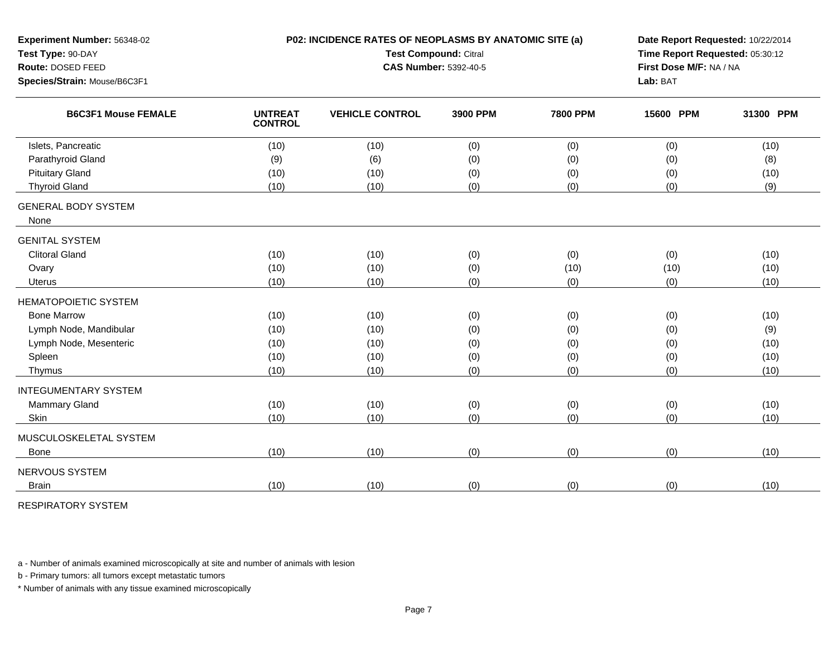| Experiment Number: 56348-02<br>Test Type: 90-DAY<br>Route: DOSED FEED<br>Species/Strain: Mouse/B6C3F1 | P02: INCIDENCE RATES OF NEOPLASMS BY ANATOMIC SITE (a)<br>Test Compound: Citral<br><b>CAS Number: 5392-40-5</b> |                        |          |                 | Date Report Requested: 10/22/2014<br>Time Report Requested: 05:30:12<br>First Dose M/F: NA / NA<br>Lab: BAT |           |
|-------------------------------------------------------------------------------------------------------|-----------------------------------------------------------------------------------------------------------------|------------------------|----------|-----------------|-------------------------------------------------------------------------------------------------------------|-----------|
| <b>B6C3F1 Mouse FEMALE</b>                                                                            | <b>UNTREAT</b><br><b>CONTROL</b>                                                                                | <b>VEHICLE CONTROL</b> | 3900 PPM | <b>7800 PPM</b> | 15600 PPM                                                                                                   | 31300 PPM |
| Islets, Pancreatic                                                                                    | (10)                                                                                                            | (10)                   | (0)      | (0)             | (0)                                                                                                         | (10)      |
| Parathyroid Gland                                                                                     | (9)                                                                                                             | (6)                    | (0)      | (0)             | (0)                                                                                                         | (8)       |
| <b>Pituitary Gland</b>                                                                                | (10)                                                                                                            | (10)                   | (0)      | (0)             | (0)                                                                                                         | (10)      |
| <b>Thyroid Gland</b>                                                                                  | (10)                                                                                                            | (10)                   | (0)      | (0)             | (0)                                                                                                         | (9)       |
| <b>GENERAL BODY SYSTEM</b><br>None                                                                    |                                                                                                                 |                        |          |                 |                                                                                                             |           |
| <b>GENITAL SYSTEM</b>                                                                                 |                                                                                                                 |                        |          |                 |                                                                                                             |           |
| <b>Clitoral Gland</b>                                                                                 | (10)                                                                                                            | (10)                   | (0)      | (0)             | (0)                                                                                                         | (10)      |
| Ovary                                                                                                 | (10)                                                                                                            | (10)                   | (0)      | (10)            | (10)                                                                                                        | (10)      |
| <b>Uterus</b>                                                                                         | (10)                                                                                                            | (10)                   | (0)      | (0)             | (0)                                                                                                         | (10)      |
| <b>HEMATOPOIETIC SYSTEM</b>                                                                           |                                                                                                                 |                        |          |                 |                                                                                                             |           |
| <b>Bone Marrow</b>                                                                                    | (10)                                                                                                            | (10)                   | (0)      | (0)             | (0)                                                                                                         | (10)      |
| Lymph Node, Mandibular                                                                                | (10)                                                                                                            | (10)                   | (0)      | (0)             | (0)                                                                                                         | (9)       |
| Lymph Node, Mesenteric                                                                                | (10)                                                                                                            | (10)                   | (0)      | (0)             | (0)                                                                                                         | (10)      |
| Spleen                                                                                                | (10)                                                                                                            | (10)                   | (0)      | (0)             | (0)                                                                                                         | (10)      |
| Thymus                                                                                                | (10)                                                                                                            | (10)                   | (0)      | (0)             | (0)                                                                                                         | (10)      |
| <b>INTEGUMENTARY SYSTEM</b>                                                                           |                                                                                                                 |                        |          |                 |                                                                                                             |           |
| <b>Mammary Gland</b>                                                                                  | (10)                                                                                                            | (10)                   | (0)      | (0)             | (0)                                                                                                         | (10)      |
| Skin                                                                                                  | (10)                                                                                                            | (10)                   | (0)      | (0)             | (0)                                                                                                         | (10)      |
| MUSCULOSKELETAL SYSTEM                                                                                |                                                                                                                 |                        |          |                 |                                                                                                             |           |
| <b>Bone</b>                                                                                           | (10)                                                                                                            | (10)                   | (0)      | (0)             | (0)                                                                                                         | (10)      |
| NERVOUS SYSTEM                                                                                        |                                                                                                                 |                        |          |                 |                                                                                                             |           |
| <b>Brain</b>                                                                                          | (10)                                                                                                            | (10)                   | (0)      | (0)             | (0)                                                                                                         | (10)      |
|                                                                                                       |                                                                                                                 |                        |          |                 |                                                                                                             |           |

RESPIRATORY SYSTEM

a - Number of animals examined microscopically at site and number of animals with lesion

b - Primary tumors: all tumors except metastatic tumors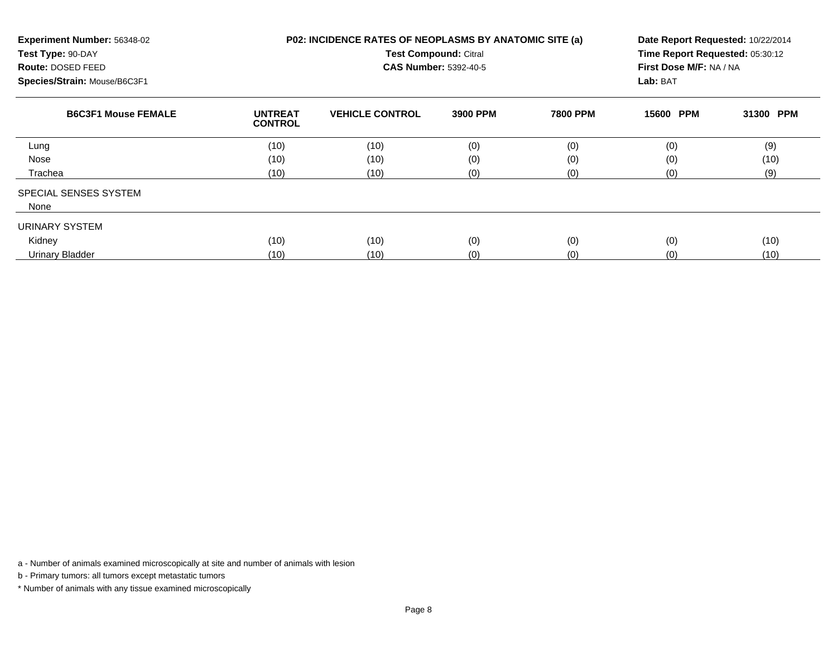| Experiment Number: 56348-02<br>Test Type: 90-DAY<br>Route: DOSED FEED<br>Species/Strain: Mouse/B6C3F1 | P02: INCIDENCE RATES OF NEOPLASMS BY ANATOMIC SITE (a)<br><b>Test Compound: Citral</b><br><b>CAS Number: 5392-40-5</b> |                        |          |                 | Date Report Requested: 10/22/2014<br>Time Report Requested: 05:30:12<br>First Dose M/F: NA / NA<br>Lab: BAT |           |
|-------------------------------------------------------------------------------------------------------|------------------------------------------------------------------------------------------------------------------------|------------------------|----------|-----------------|-------------------------------------------------------------------------------------------------------------|-----------|
| <b>B6C3F1 Mouse FEMALE</b>                                                                            | <b>UNTREAT</b><br><b>CONTROL</b>                                                                                       | <b>VEHICLE CONTROL</b> | 3900 PPM | <b>7800 PPM</b> | 15600 PPM                                                                                                   | 31300 PPM |
| Lung                                                                                                  | (10)                                                                                                                   | (10)                   | (0)      | (0)             | (0)                                                                                                         | (9)       |
| Nose                                                                                                  | (10)                                                                                                                   | (10)                   | (0)      | (0)             | (0)                                                                                                         | (10)      |
| Trachea                                                                                               | (10)                                                                                                                   | (10)                   | (0)      | (0)             | (0)                                                                                                         | (9)       |
| SPECIAL SENSES SYSTEM                                                                                 |                                                                                                                        |                        |          |                 |                                                                                                             |           |
| None                                                                                                  |                                                                                                                        |                        |          |                 |                                                                                                             |           |
| URINARY SYSTEM                                                                                        |                                                                                                                        |                        |          |                 |                                                                                                             |           |
| Kidney                                                                                                | (10)                                                                                                                   | (10)                   | (0)      | (0)             | (0)                                                                                                         | (10)      |
| <b>Urinary Bladder</b>                                                                                | (10)                                                                                                                   | (10)                   | (0)      | (0)             | (0)                                                                                                         | (10)      |

b - Primary tumors: all tumors except metastatic tumors